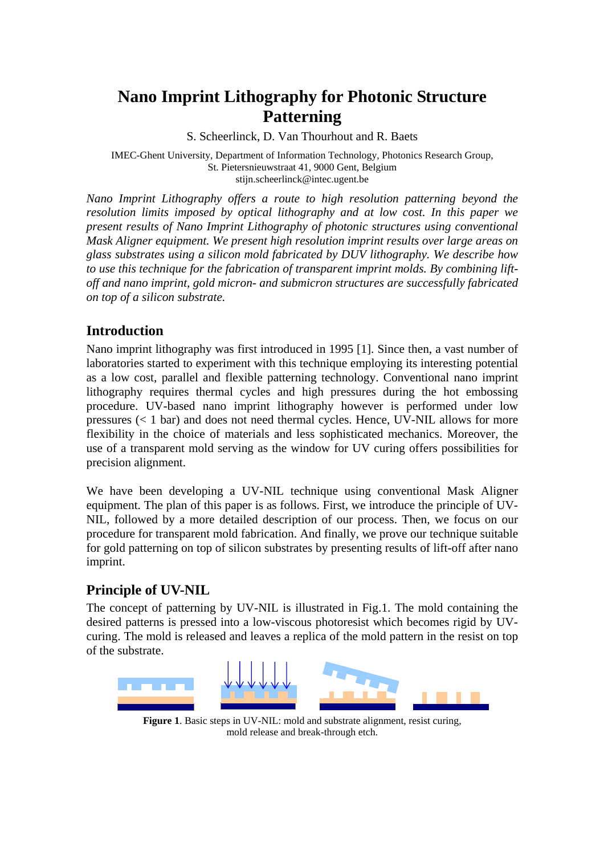# **Nano Imprint Lithography for Photonic Structure Patterning**

S. Scheerlinck, D. Van Thourhout and R. Baets

IMEC-Ghent University, Department of Information Technology, Photonics Research Group, St. Pietersnieuwstraat 41, 9000 Gent, Belgium stijn.scheerlinck@intec.ugent.be

*Nano Imprint Lithography offers a route to high resolution patterning beyond the resolution limits imposed by optical lithography and at low cost. In this paper we present results of Nano Imprint Lithography of photonic structures using conventional Mask Aligner equipment. We present high resolution imprint results over large areas on glass substrates using a silicon mold fabricated by DUV lithography. We describe how to use this technique for the fabrication of transparent imprint molds. By combining liftoff and nano imprint, gold micron- and submicron structures are successfully fabricated on top of a silicon substrate.* 

## **Introduction**

Nano imprint lithography was first introduced in 1995 [1]. Since then, a vast number of laboratories started to experiment with this technique employing its interesting potential as a low cost, parallel and flexible patterning technology. Conventional nano imprint lithography requires thermal cycles and high pressures during the hot embossing procedure. UV-based nano imprint lithography however is performed under low pressures (< 1 bar) and does not need thermal cycles. Hence, UV-NIL allows for more flexibility in the choice of materials and less sophisticated mechanics. Moreover, the use of a transparent mold serving as the window for UV curing offers possibilities for precision alignment.

We have been developing a UV-NIL technique using conventional Mask Aligner equipment. The plan of this paper is as follows. First, we introduce the principle of UV-NIL, followed by a more detailed description of our process. Then, we focus on our procedure for transparent mold fabrication. And finally, we prove our technique suitable for gold patterning on top of silicon substrates by presenting results of lift-off after nano imprint.

## **Principle of UV-NIL**

The concept of patterning by UV-NIL is illustrated in Fig.1. The mold containing the desired patterns is pressed into a low-viscous photoresist which becomes rigid by UVcuring. The mold is released and leaves a replica of the mold pattern in the resist on top of the substrate.



**Figure 1.** Basic steps in UV-NIL: mold and substrate alignment, resist curing, mold release and break-through etch.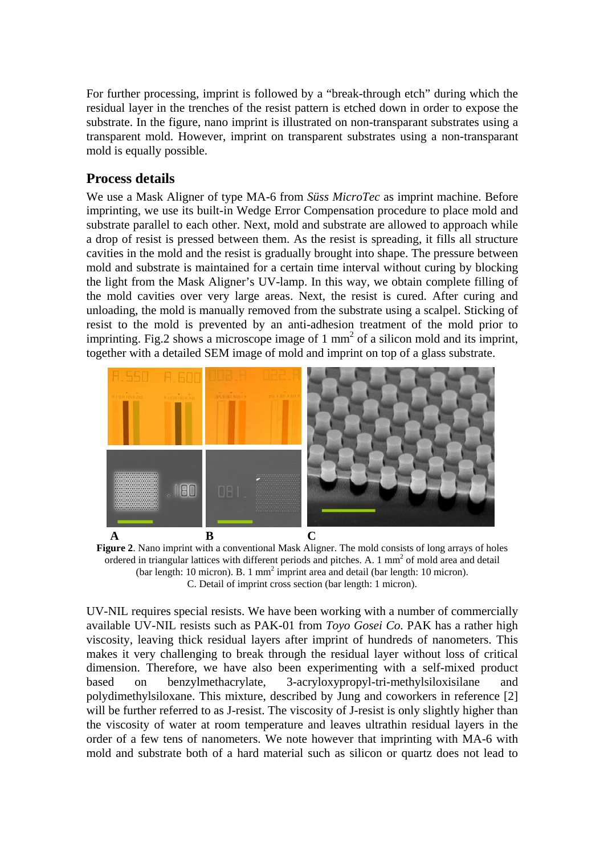For further processing, imprint is followed by a "break-through etch" during which the residual layer in the trenches of the resist pattern is etched down in order to expose the substrate. In the figure, nano imprint is illustrated on non-transparant substrates using a transparent mold. However, imprint on transparent substrates using a non-transparant mold is equally possible.

### **Process details**

We use a Mask Aligner of type MA-6 from *Süss MicroTec* as imprint machine. Before imprinting, we use its built-in Wedge Error Compensation procedure to place mold and substrate parallel to each other. Next, mold and substrate are allowed to approach while a drop of resist is pressed between them. As the resist is spreading, it fills all structure cavities in the mold and the resist is gradually brought into shape. The pressure between mold and substrate is maintained for a certain time interval without curing by blocking the light from the Mask Aligner's UV-lamp. In this way, we obtain complete filling of the mold cavities over very large areas. Next, the resist is cured. After curing and unloading, the mold is manually removed from the substrate using a scalpel. Sticking of resist to the mold is prevented by an anti-adhesion treatment of the mold prior to imprinting. Fig.2 shows a microscope image of 1  $\text{mm}^2$  of a silicon mold and its imprint, together with a detailed SEM image of mold and imprint on top of a glass substrate.



**Figure 2**. Nano imprint with a conventional Mask Aligner. The mold consists of long arrays of holes ordered in triangular lattices with different periods and pitches. A.  $1 \text{ mm}^2$  of mold area and detail (bar length: 10 micron). B. 1 mm<sup>2</sup> imprint area and detail (bar length: 10 micron). C. Detail of imprint cross section (bar length: 1 micron).

UV-NIL requires special resists. We have been working with a number of commercially available UV-NIL resists such as PAK-01 from *Toyo Gosei Co*. PAK has a rather high viscosity, leaving thick residual layers after imprint of hundreds of nanometers. This makes it very challenging to break through the residual layer without loss of critical dimension. Therefore, we have also been experimenting with a self-mixed product based on benzylmethacrylate, 3-acryloxypropyl-tri-methylsiloxisilane and polydimethylsiloxane. This mixture, described by Jung and coworkers in reference [2] will be further referred to as J-resist. The viscosity of J-resist is only slightly higher than the viscosity of water at room temperature and leaves ultrathin residual layers in the order of a few tens of nanometers. We note however that imprinting with MA-6 with mold and substrate both of a hard material such as silicon or quartz does not lead to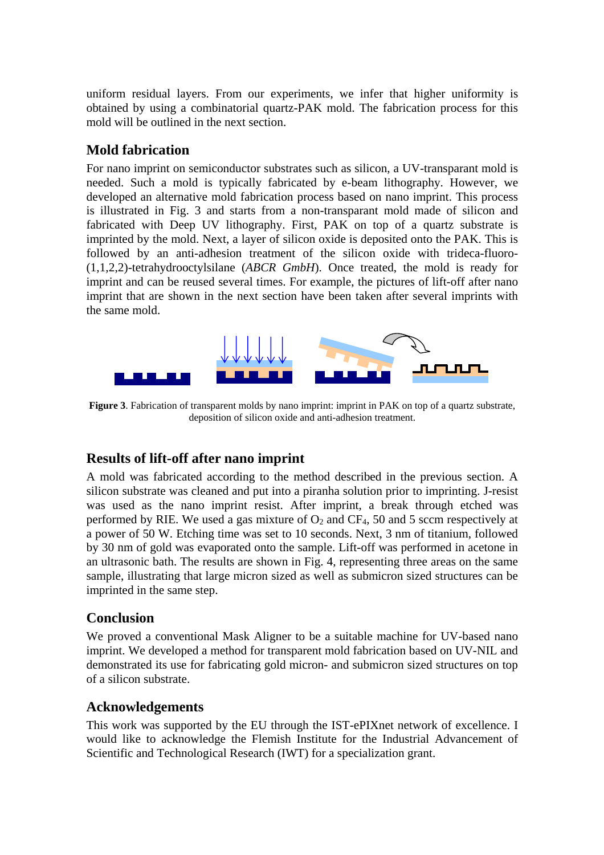uniform residual layers. From our experiments, we infer that higher uniformity is obtained by using a combinatorial quartz-PAK mold. The fabrication process for this mold will be outlined in the next section.

#### **Mold fabrication**

For nano imprint on semiconductor substrates such as silicon, a UV-transparant mold is needed. Such a mold is typically fabricated by e-beam lithography. However, we developed an alternative mold fabrication process based on nano imprint. This process is illustrated in Fig. 3 and starts from a non-transparant mold made of silicon and fabricated with Deep UV lithography. First, PAK on top of a quartz substrate is imprinted by the mold. Next, a layer of silicon oxide is deposited onto the PAK. This is followed by an anti-adhesion treatment of the silicon oxide with trideca-fluoro- (1,1,2,2)-tetrahydrooctylsilane (*ABCR GmbH*). Once treated, the mold is ready for imprint and can be reused several times. For example, the pictures of lift-off after nano imprint that are shown in the next section have been taken after several imprints with the same mold.



**Figure 3**. Fabrication of transparent molds by nano imprint: imprint in PAK on top of a quartz substrate, deposition of silicon oxide and anti-adhesion treatment.

## **Results of lift-off after nano imprint**

A mold was fabricated according to the method described in the previous section. A silicon substrate was cleaned and put into a piranha solution prior to imprinting. J-resist was used as the nano imprint resist. After imprint, a break through etched was performed by RIE. We used a gas mixture of  $O_2$  and  $CF_4$ , 50 and 5 sccm respectively at a power of 50 W. Etching time was set to 10 seconds. Next, 3 nm of titanium, followed by 30 nm of gold was evaporated onto the sample. Lift-off was performed in acetone in an ultrasonic bath. The results are shown in Fig. 4, representing three areas on the same sample, illustrating that large micron sized as well as submicron sized structures can be imprinted in the same step.

#### **Conclusion**

We proved a conventional Mask Aligner to be a suitable machine for UV-based nano imprint. We developed a method for transparent mold fabrication based on UV-NIL and demonstrated its use for fabricating gold micron- and submicron sized structures on top of a silicon substrate.

## **Acknowledgements**

This work was supported by the EU through the IST-ePIXnet network of excellence. I would like to acknowledge the Flemish Institute for the Industrial Advancement of Scientific and Technological Research (IWT) for a specialization grant.